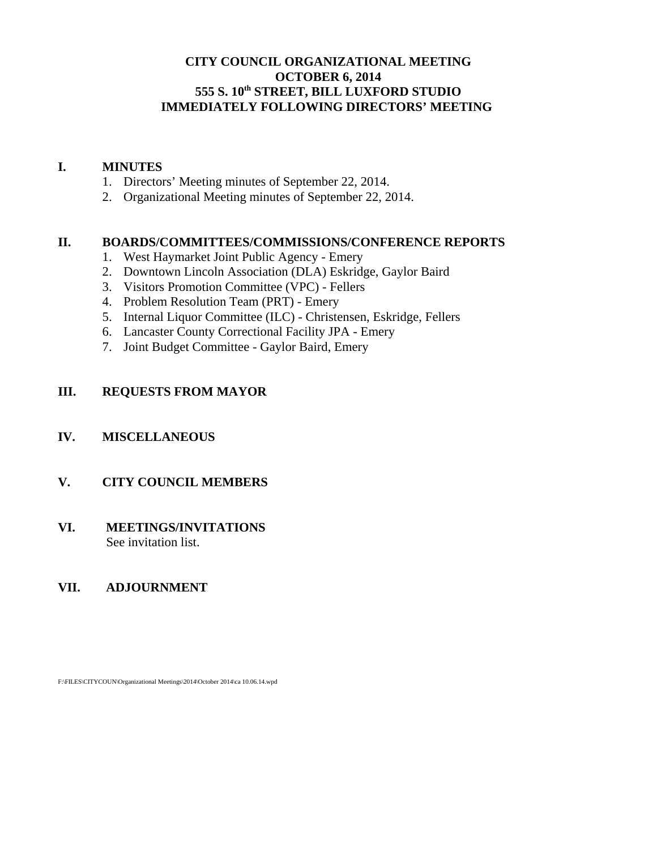## **CITY COUNCIL ORGANIZATIONAL MEETING OCTOBER 6, 2014 555 S. 10th STREET, BILL LUXFORD STUDIO IMMEDIATELY FOLLOWING DIRECTORS' MEETING**

#### **I. MINUTES**

- 1. Directors' Meeting minutes of September 22, 2014.
- 2. Organizational Meeting minutes of September 22, 2014.

### **II. BOARDS/COMMITTEES/COMMISSIONS/CONFERENCE REPORTS**

- 1. West Haymarket Joint Public Agency Emery
- 2. Downtown Lincoln Association (DLA) Eskridge, Gaylor Baird
- 3. Visitors Promotion Committee (VPC) Fellers
- 4. Problem Resolution Team (PRT) Emery
- 5. Internal Liquor Committee (ILC) Christensen, Eskridge, Fellers
- 6. Lancaster County Correctional Facility JPA Emery
- 7. Joint Budget Committee Gaylor Baird, Emery

## **III. REQUESTS FROM MAYOR**

## **IV. MISCELLANEOUS**

## **V. CITY COUNCIL MEMBERS**

## **VI. MEETINGS/INVITATIONS** See invitation list.

## **VII. ADJOURNMENT**

F:\FILES\CITYCOUN\Organizational Meetings\2014\October 2014\ca 10.06.14.wpd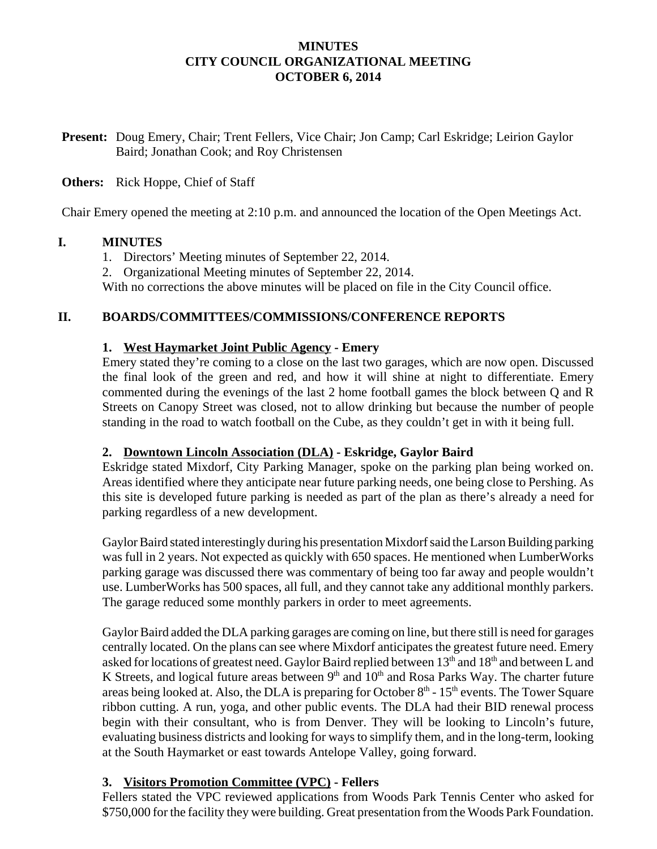### **MINUTES CITY COUNCIL ORGANIZATIONAL MEETING OCTOBER 6, 2014**

**Present:** Doug Emery, Chair; Trent Fellers, Vice Chair; Jon Camp; Carl Eskridge; Leirion Gaylor Baird; Jonathan Cook; and Roy Christensen

### **Others:** Rick Hoppe, Chief of Staff

Chair Emery opened the meeting at 2:10 p.m. and announced the location of the Open Meetings Act.

### **I. MINUTES**

- 1. Directors' Meeting minutes of September 22, 2014.
- 2. Organizational Meeting minutes of September 22, 2014.

With no corrections the above minutes will be placed on file in the City Council office.

## **II. BOARDS/COMMITTEES/COMMISSIONS/CONFERENCE REPORTS**

### **1. West Haymarket Joint Public Agency - Emery**

Emery stated they're coming to a close on the last two garages, which are now open. Discussed the final look of the green and red, and how it will shine at night to differentiate. Emery commented during the evenings of the last 2 home football games the block between Q and R Streets on Canopy Street was closed, not to allow drinking but because the number of people standing in the road to watch football on the Cube, as they couldn't get in with it being full.

#### **2. Downtown Lincoln Association (DLA) - Eskridge, Gaylor Baird**

Eskridge stated Mixdorf, City Parking Manager, spoke on the parking plan being worked on. Areas identified where they anticipate near future parking needs, one being close to Pershing. As this site is developed future parking is needed as part of the plan as there's already a need for parking regardless of a new development.

Gaylor Baird stated interestingly during his presentation Mixdorf said the Larson Building parking was full in 2 years. Not expected as quickly with 650 spaces. He mentioned when LumberWorks parking garage was discussed there was commentary of being too far away and people wouldn't use. LumberWorks has 500 spaces, all full, and they cannot take any additional monthly parkers. The garage reduced some monthly parkers in order to meet agreements.

Gaylor Baird added the DLA parking garages are coming on line, but there still is need for garages centrally located. On the plans can see where Mixdorf anticipates the greatest future need. Emery asked for locations of greatest need. Gaylor Baird replied between 13<sup>th</sup> and 18<sup>th</sup> and between L and K Streets, and logical future areas between  $9<sup>th</sup>$  and  $10<sup>th</sup>$  and Rosa Parks Way. The charter future areas being looked at. Also, the DLA is preparing for October  $8<sup>th</sup>$  - 15<sup>th</sup> events. The Tower Square ribbon cutting. A run, yoga, and other public events. The DLA had their BID renewal process begin with their consultant, who is from Denver. They will be looking to Lincoln's future, evaluating business districts and looking for ways to simplify them, and in the long-term, looking at the South Haymarket or east towards Antelope Valley, going forward.

## **3. Visitors Promotion Committee (VPC) - Fellers**

Fellers stated the VPC reviewed applications from Woods Park Tennis Center who asked for \$750,000 for the facility they were building. Great presentation from the Woods Park Foundation.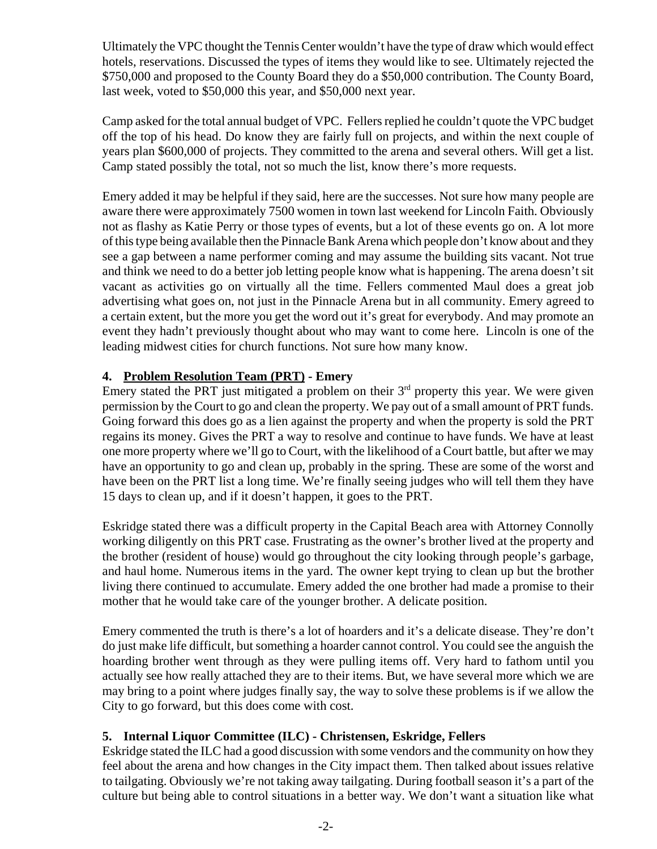Ultimately the VPC thought the Tennis Center wouldn't have the type of draw which would effect hotels, reservations. Discussed the types of items they would like to see. Ultimately rejected the \$750,000 and proposed to the County Board they do a \$50,000 contribution. The County Board, last week, voted to \$50,000 this year, and \$50,000 next year.

Camp asked for the total annual budget of VPC. Fellers replied he couldn't quote the VPC budget off the top of his head. Do know they are fairly full on projects, and within the next couple of years plan \$600,000 of projects. They committed to the arena and several others. Will get a list. Camp stated possibly the total, not so much the list, know there's more requests.

Emery added it may be helpful if they said, here are the successes. Not sure how many people are aware there were approximately 7500 women in town last weekend for Lincoln Faith. Obviously not as flashy as Katie Perry or those types of events, but a lot of these events go on. A lot more of this type being available then the Pinnacle Bank Arena which people don't know about and they see a gap between a name performer coming and may assume the building sits vacant. Not true and think we need to do a better job letting people know what is happening. The arena doesn't sit vacant as activities go on virtually all the time. Fellers commented Maul does a great job advertising what goes on, not just in the Pinnacle Arena but in all community. Emery agreed to a certain extent, but the more you get the word out it's great for everybody. And may promote an event they hadn't previously thought about who may want to come here. Lincoln is one of the leading midwest cities for church functions. Not sure how many know.

## **4. Problem Resolution Team (PRT) - Emery**

Emery stated the PRT just mitigated a problem on their  $3<sup>rd</sup>$  property this year. We were given permission by the Court to go and clean the property. We pay out of a small amount of PRT funds. Going forward this does go as a lien against the property and when the property is sold the PRT regains its money. Gives the PRT a way to resolve and continue to have funds. We have at least one more property where we'll go to Court, with the likelihood of a Court battle, but after we may have an opportunity to go and clean up, probably in the spring. These are some of the worst and have been on the PRT list a long time. We're finally seeing judges who will tell them they have 15 days to clean up, and if it doesn't happen, it goes to the PRT.

Eskridge stated there was a difficult property in the Capital Beach area with Attorney Connolly working diligently on this PRT case. Frustrating as the owner's brother lived at the property and the brother (resident of house) would go throughout the city looking through people's garbage, and haul home. Numerous items in the yard. The owner kept trying to clean up but the brother living there continued to accumulate. Emery added the one brother had made a promise to their mother that he would take care of the younger brother. A delicate position.

Emery commented the truth is there's a lot of hoarders and it's a delicate disease. They're don't do just make life difficult, but something a hoarder cannot control. You could see the anguish the hoarding brother went through as they were pulling items off. Very hard to fathom until you actually see how really attached they are to their items. But, we have several more which we are may bring to a point where judges finally say, the way to solve these problems is if we allow the City to go forward, but this does come with cost.

## **5. Internal Liquor Committee (ILC) - Christensen, Eskridge, Fellers**

Eskridge stated the ILC had a good discussion with some vendors and the community on how they feel about the arena and how changes in the City impact them. Then talked about issues relative to tailgating. Obviously we're not taking away tailgating. During football season it's a part of the culture but being able to control situations in a better way. We don't want a situation like what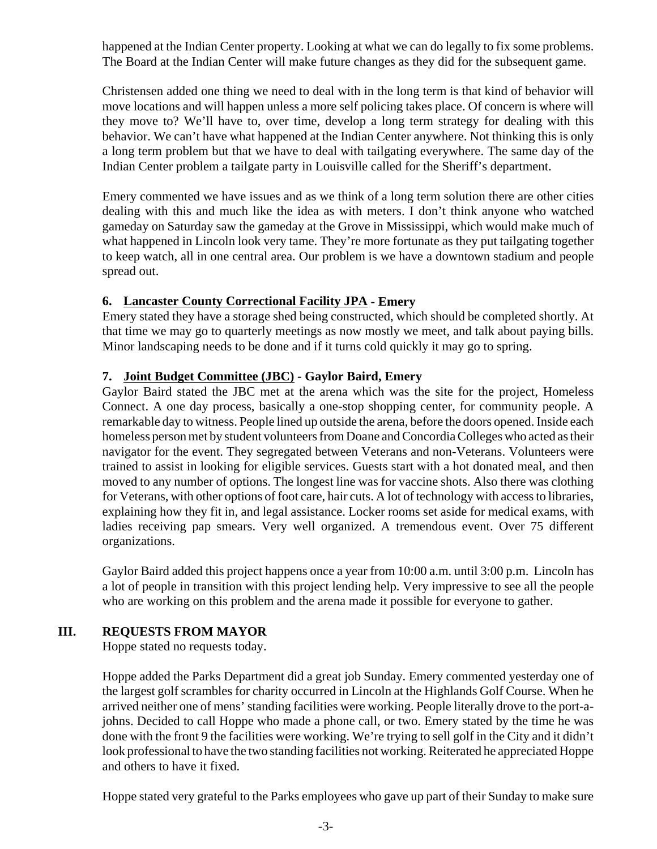happened at the Indian Center property. Looking at what we can do legally to fix some problems. The Board at the Indian Center will make future changes as they did for the subsequent game.

Christensen added one thing we need to deal with in the long term is that kind of behavior will move locations and will happen unless a more self policing takes place. Of concern is where will they move to? We'll have to, over time, develop a long term strategy for dealing with this behavior. We can't have what happened at the Indian Center anywhere. Not thinking this is only a long term problem but that we have to deal with tailgating everywhere. The same day of the Indian Center problem a tailgate party in Louisville called for the Sheriff's department.

Emery commented we have issues and as we think of a long term solution there are other cities dealing with this and much like the idea as with meters. I don't think anyone who watched gameday on Saturday saw the gameday at the Grove in Mississippi, which would make much of what happened in Lincoln look very tame. They're more fortunate as they put tailgating together to keep watch, all in one central area. Our problem is we have a downtown stadium and people spread out.

## **6. Lancaster County Correctional Facility JPA - Emery**

Emery stated they have a storage shed being constructed, which should be completed shortly. At that time we may go to quarterly meetings as now mostly we meet, and talk about paying bills. Minor landscaping needs to be done and if it turns cold quickly it may go to spring.

## **7. Joint Budget Committee (JBC) - Gaylor Baird, Emery**

Gaylor Baird stated the JBC met at the arena which was the site for the project, Homeless Connect. A one day process, basically a one-stop shopping center, for community people. A remarkable day to witness. People lined up outside the arena, before the doors opened. Inside each homeless person met by student volunteers from Doane and Concordia Colleges who acted as their navigator for the event. They segregated between Veterans and non-Veterans. Volunteers were trained to assist in looking for eligible services. Guests start with a hot donated meal, and then moved to any number of options. The longest line was for vaccine shots. Also there was clothing for Veterans, with other options of foot care, hair cuts. A lot of technology with access to libraries, explaining how they fit in, and legal assistance. Locker rooms set aside for medical exams, with ladies receiving pap smears. Very well organized. A tremendous event. Over 75 different organizations.

Gaylor Baird added this project happens once a year from 10:00 a.m. until 3:00 p.m. Lincoln has a lot of people in transition with this project lending help. Very impressive to see all the people who are working on this problem and the arena made it possible for everyone to gather.

# **III. REQUESTS FROM MAYOR**

Hoppe stated no requests today.

Hoppe added the Parks Department did a great job Sunday. Emery commented yesterday one of the largest golf scrambles for charity occurred in Lincoln at the Highlands Golf Course. When he arrived neither one of mens' standing facilities were working. People literally drove to the port-ajohns. Decided to call Hoppe who made a phone call, or two. Emery stated by the time he was done with the front 9 the facilities were working. We're trying to sell golf in the City and it didn't look professional to have the two standing facilities not working. Reiterated he appreciated Hoppe and others to have it fixed.

Hoppe stated very grateful to the Parks employees who gave up part of their Sunday to make sure